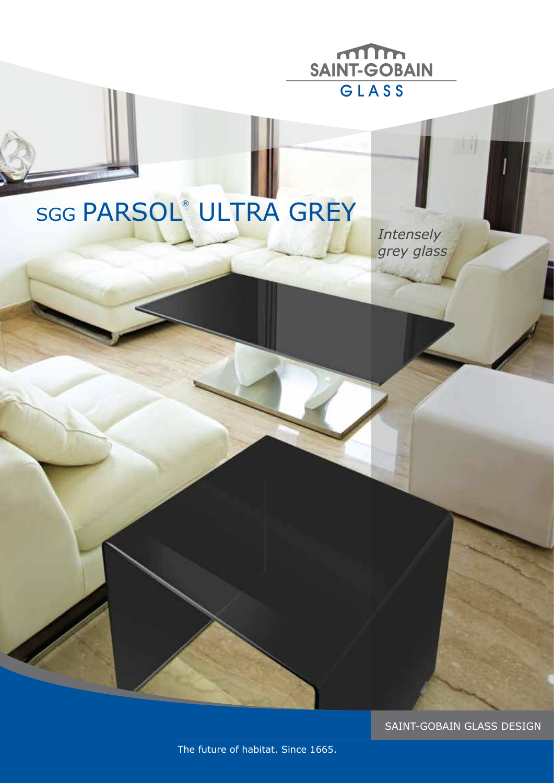

# SGG PARSOL® ULTRA GREY

*Intensely grey glass* 

SAINT-GOBAIN GLASS DESIGN

The future of habitat. Since 1665.